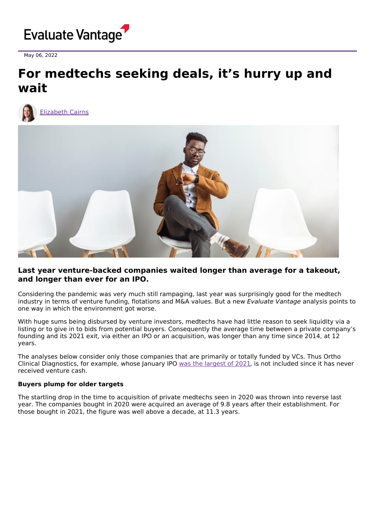

May 06, 2022

## **For medtechs seeking deals, it's hurry up and wait**



[Elizabeth](https://www.evaluate.com/vantage/editorial-team/elizabeth-cairns) Cairns



### **Last year venture-backed companies waited longer than average for a takeout, and longer than ever for an IPO.**

Considering the pandemic was very much still rampaging, last year was surprisingly good for the medtech industry in terms of venture funding, flotations and M&A values. But a new Evaluate Vantage analysis points to one way in which the environment got worse.

With huge sums being disbursed by venture investors, medtechs have had little reason to seek liquidity via a listing or to give in to bids from potential buyers. Consequently the average time between a private company's founding and its 2021 exit, via either an IPO or an acquisition, was longer than any time since 2014, at 12 years.

The analyses below consider only those companies that are primarily or totally funded by VCs. Thus Ortho Clinical Diagnostics, for example, whose January IPO was the [largest](https://www.evaluate.com/vantage/articles/insights/ipo/medical-device-groups-float-then-sink) of 2021, is not included since it has never received venture cash.

### **Buyers plump for older targets**

The startling drop in the time to acquisition of private medtechs seen in 2020 was thrown into reverse last year. The companies bought in 2020 were acquired an average of 9.8 years after their establishment. For those bought in 2021, the figure was well above a decade, at 11.3 years.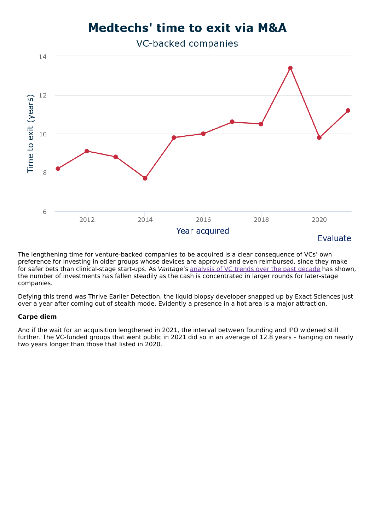# **Medtechs' time to exit via M&A**

VC-backed companies



The lengthening time for venture-backed companies to be acquired is a clear consequence of VCs' own preference for investing in older groups whose devices are approved and even reimbursed, since they make for safer bets than clinical-stage start-ups. As Vantage's [analysis](https://www.evaluate.com/vantage/articles/insights/venture-financing/medtech-scores-its-biggest-ever-venture-haul) of VC trends over the past decade has shown, the number of investments has fallen steadily as the cash is concentrated in larger rounds for later-stage companies.

Defying this trend was Thrive Earlier Detection, the liquid biopsy developer snapped up by Exact Sciences just over a year after coming out of stealth mode. Evidently a presence in a hot area is a major attraction.

#### **Carpe diem**

And if the wait for an acquisition lengthened in 2021, the interval between founding and IPO widened still further. The VC-funded groups that went public in 2021 did so in an average of 12.8 years – hanging on nearly two years longer than those that listed in 2020.